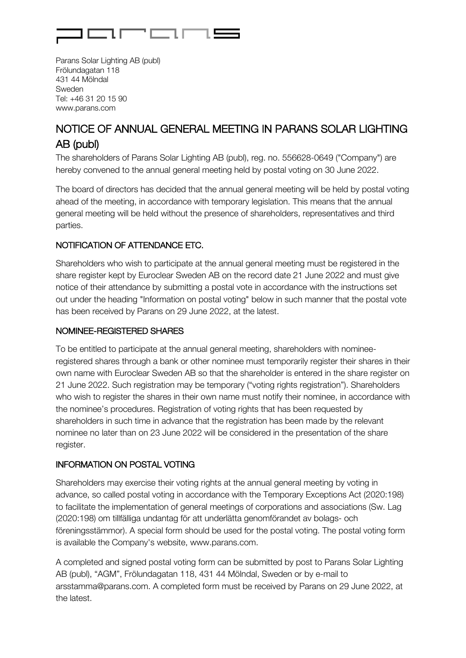

Parans Solar Lighting AB (publ) Frölundagatan 118 431 44 Mölndal Sweden Tel: +46 31 20 15 90 www.parans.com

# NOTICE OF ANNUAL GENERAL MEETING IN PARANS SOLAR LIGHTING AB (publ)

The shareholders of Parans Solar Lighting AB (publ), reg. no. 556628-0649 ("Company") are hereby convened to the annual general meeting held by postal voting on 30 June 2022.

The board of directors has decided that the annual general meeting will be held by postal voting ahead of the meeting, in accordance with temporary legislation. This means that the annual general meeting will be held without the presence of shareholders, representatives and third parties.

# NOTIFICATION OF ATTENDANCE ETC.

Shareholders who wish to participate at the annual general meeting must be registered in the share register kept by Euroclear Sweden AB on the record date 21 June 2022 and must give notice of their attendance by submitting a postal vote in accordance with the instructions set out under the heading "Information on postal voting" below in such manner that the postal vote has been received by Parans on 29 June 2022, at the latest.

## NOMINEE-REGISTERED SHARES

To be entitled to participate at the annual general meeting, shareholders with nomineeregistered shares through a bank or other nominee must temporarily register their shares in their own name with Euroclear Sweden AB so that the shareholder is entered in the share register on 21 June 2022. Such registration may be temporary ("voting rights registration"). Shareholders who wish to register the shares in their own name must notify their nominee, in accordance with the nominee's procedures. Registration of voting rights that has been requested by shareholders in such time in advance that the registration has been made by the relevant nominee no later than on 23 June 2022 will be considered in the presentation of the share register.

## INFORMATION ON POSTAL VOTING

Shareholders may exercise their voting rights at the annual general meeting by voting in advance, so called postal voting in accordance with the Temporary Exceptions Act (2020:198) to facilitate the implementation of general meetings of corporations and associations (Sw. Lag (2020:198) om tillfälliga undantag för att underlätta genomförandet av bolags- och föreningsstämmor). A special form should be used for the postal voting. The postal voting form is available the Company's website, www.parans.com.

A completed and signed postal voting form can be submitted by post to Parans Solar Lighting AB (publ), "AGM", Frölundagatan 118, 431 44 Mölndal, Sweden or by e-mail to arsstamma@parans.com. A completed form must be received by Parans on 29 June 2022, at the latest.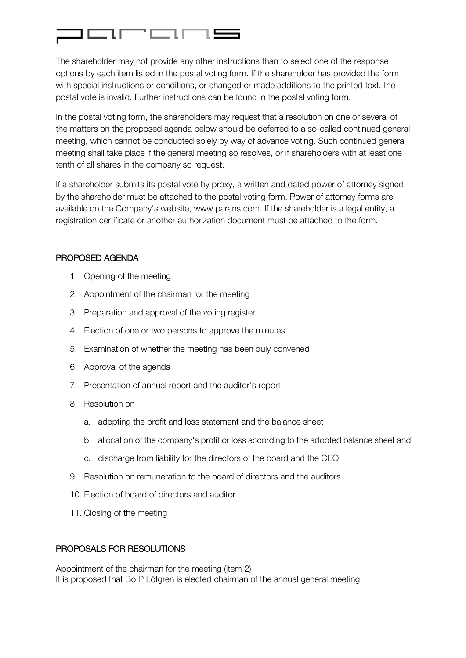

The shareholder may not provide any other instructions than to select one of the response options by each item listed in the postal voting form. If the shareholder has provided the form with special instructions or conditions, or changed or made additions to the printed text, the postal vote is invalid. Further instructions can be found in the postal voting form.

In the postal voting form, the shareholders may request that a resolution on one or several of the matters on the proposed agenda below should be deferred to a so-called continued general meeting, which cannot be conducted solely by way of advance voting. Such continued general meeting shall take place if the general meeting so resolves, or if shareholders with at least one tenth of all shares in the company so request.

If a shareholder submits its postal vote by proxy, a written and dated power of attorney signed by the shareholder must be attached to the postal voting form. Power of attorney forms are available on the Company's website, www.parans.com. If the shareholder is a legal entity, a registration certificate or another authorization document must be attached to the form.

## PROPOSED AGENDA

- 1. Opening of the meeting
- 2. Appointment of the chairman for the meeting
- 3. Preparation and approval of the voting register
- 4. Election of one or two persons to approve the minutes
- 5. Examination of whether the meeting has been duly convened
- 6. Approval of the agenda
- 7. Presentation of annual report and the auditor's report
- 8. Resolution on
	- a. adopting the profit and loss statement and the balance sheet
	- b. allocation of the company's profit or loss according to the adopted balance sheet and
	- c. discharge from liability for the directors of the board and the CEO
- 9. Resolution on remuneration to the board of directors and the auditors
- 10. Election of board of directors and auditor
- 11. Closing of the meeting

# PROPOSALS FOR RESOLUTIONS

Appointment of the chairman for the meeting (item 2) It is proposed that Bo P Löfgren is elected chairman of the annual general meeting.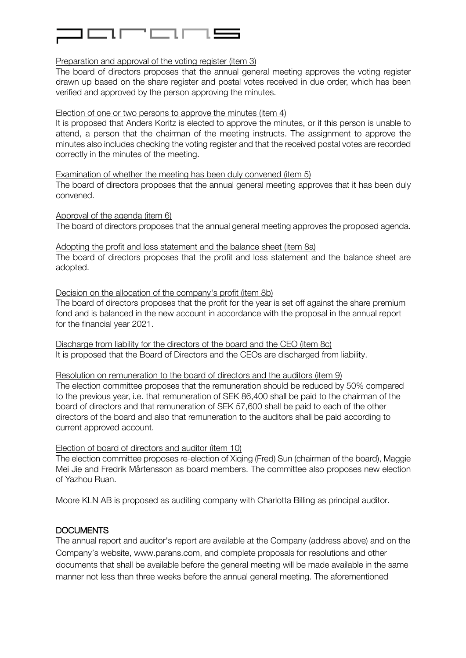

#### Preparation and approval of the voting register (item 3)

The board of directors proposes that the annual general meeting approves the voting register drawn up based on the share register and postal votes received in due order, which has been verified and approved by the person approving the minutes.

#### Election of one or two persons to approve the minutes (item 4)

It is proposed that Anders Koritz is elected to approve the minutes, or if this person is unable to attend, a person that the chairman of the meeting instructs. The assignment to approve the minutes also includes checking the voting register and that the received postal votes are recorded correctly in the minutes of the meeting.

Examination of whether the meeting has been duly convened (item 5)

The board of directors proposes that the annual general meeting approves that it has been duly convened.

Approval of the agenda (item 6) The board of directors proposes that the annual general meeting approves the proposed agenda.

## Adopting the profit and loss statement and the balance sheet (item 8a)

The board of directors proposes that the profit and loss statement and the balance sheet are adopted.

Decision on the allocation of the company's profit (item 8b) The board of directors proposes that the profit for the year is set off against the share premium fond and is balanced in the new account in accordance with the proposal in the annual report

Discharge from liability for the directors of the board and the CEO (item 8c) It is proposed that the Board of Directors and the CEOs are discharged from liability.

Resolution on remuneration to the board of directors and the auditors (item 9) The election committee proposes that the remuneration should be reduced by 50% compared to the previous year, i.e. that remuneration of SEK 86,400 shall be paid to the chairman of the board of directors and that remuneration of SEK 57,600 shall be paid to each of the other directors of the board and also that remuneration to the auditors shall be paid according to current approved account.

#### Election of board of directors and auditor (item 10)

The election committee proposes re-election of Xiqing (Fred) Sun (chairman of the board), Maggie Mei Jie and Fredrik Mårtensson as board members. The committee also proposes new election of Yazhou Ruan.

Moore KLN AB is proposed as auditing company with Charlotta Billing as principal auditor.

#### DOCUMENTS

for the financial year 2021.

The annual report and auditor's report are available at the Company (address above) and on the Company's website, www.parans.com, and complete proposals for resolutions and other documents that shall be available before the general meeting will be made available in the same manner not less than three weeks before the annual general meeting. The aforementioned